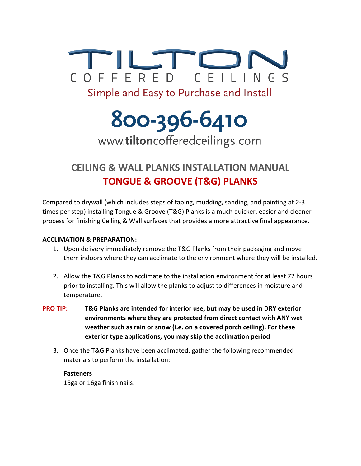

# 800-396-6410 www.tiltoncofferedceilings.com

# **CEILING & WALL PLANKS INSTALLATION MANUAL TONGUE & GROOVE (T&G) PLANKS**

Compared to drywall (which includes steps of taping, mudding, sanding, and painting at 2-3 times per step) installing Tongue & Groove (T&G) Planks is a much quicker, easier and cleaner process for finishing Ceiling & Wall surfaces that provides a more attractive final appearance.

# **ACCLIMATION & PREPARATION:**

- 1. Upon delivery immediately remove the T&G Planks from their packaging and move them indoors where they can acclimate to the environment where they will be installed.
- 2. Allow the T&G Planks to acclimate to the installation environment for at least 72 hours prior to installing. This will allow the planks to adjust to differences in moisture and temperature.
- **PRO TIP: T&G Planks are intended for interior use, but may be used in DRY exterior environments where they are protected from direct contact with ANY wet weather such as rain or snow (i.e. on a covered porch ceiling). For these exterior type applications, you may skip the acclimation period**
	- 3. Once the T&G Planks have been acclimated, gather the following recommended materials to perform the installation:

# **Fasteners**

15ga or 16ga finish nails: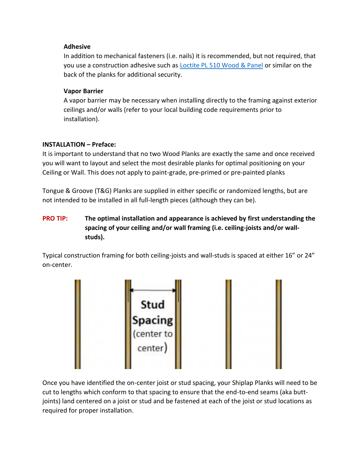# **Adhesive**

In addition to mechanical fasteners (i.e. nails) it is recommended, but not required, that you use a construction adhesive such as [Loctite PL 510 Wood & Panel](https://www.loctiteproducts.com/en/products/build/construction-adhesives/loctite_pl_510_woodandpanel.html) or similar on the back of the planks for additional security.

# **Vapor Barrier**

A vapor barrier may be necessary when installing directly to the framing against exterior ceilings and/or walls (refer to your local building code requirements prior to installation).

## **INSTALLATION – Preface:**

It is important to understand that no two Wood Planks are exactly the same and once received you will want to layout and select the most desirable planks for optimal positioning on your Ceiling or Wall. This does not apply to paint-grade, pre-primed or pre-painted planks

Tongue & Groove (T&G) Planks are supplied in either specific or randomized lengths, but are not intended to be installed in all full-length pieces (although they can be).

# **PRO TIP:** The optimal installation and appearance is achieved by first understanding the **spacing of your ceiling and/or wall framing (i.e. ceiling-joists and/or wallstuds).**

Typical construction framing for both ceiling-joists and wall-studs is spaced at either 16" or 24" on-center.



Once you have identified the on-center joist or stud spacing, your Shiplap Planks will need to be cut to lengths which conform to that spacing to ensure that the end-to-end seams (aka buttjoints) land centered on a joist or stud and be fastened at each of the joist or stud locations as required for proper installation.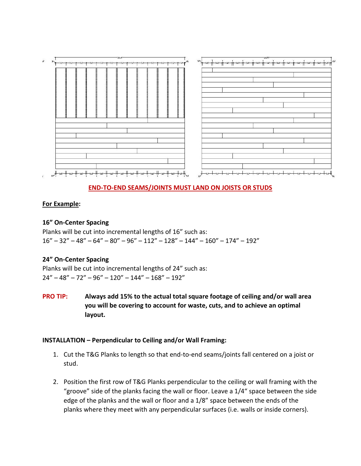

# **END-TO-END SEAMS/JOINTS MUST LAND ON JOISTS OR STUDS**

# **For Example:**

#### **16" On-Center Spacing**

Planks will be cut into incremental lengths of 16" such as:  $16" - 32" - 48" - 64" - 80" - 96" - 112" - 128" - 144" - 160" - 174" - 192"$ 

#### **24" On-Center Spacing**

Planks will be cut into incremental lengths of 24" such as:  $24'' - 48'' - 72'' - 96'' - 120'' - 144'' - 168'' - 192''$ 

**PRO TIP: Always add 15% to the actual total square footage of ceiling and/or wall area you will be covering to account for waste, cuts, and to achieve an optimal layout.** 

#### **INSTALLATION – Perpendicular to Ceiling and/or Wall Framing:**

- 1. Cut the T&G Planks to length so that end-to-end seams/joints fall centered on a joist or stud.
- 2. Position the first row of T&G Planks perpendicular to the ceiling or wall framing with the "groove" side of the planks facing the wall or floor. Leave a 1/4" space between the side edge of the planks and the wall or floor and a 1/8" space between the ends of the planks where they meet with any perpendicular surfaces (i.e. walls or inside corners).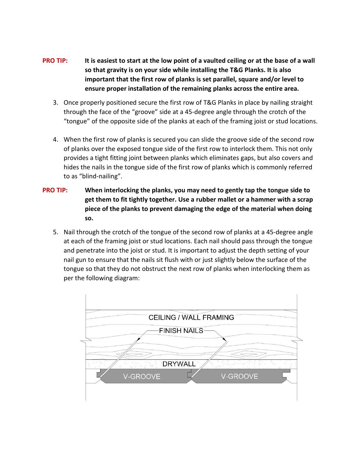- **PRO TIP:** It is easiest to start at the low point of a vaulted ceiling or at the base of a wall **so that gravity is on your side while installing the T&G Planks. It is also important that the first row of planks is set parallel, square and/or level to ensure proper installation of the remaining planks across the entire area.**
	- 3. Once properly positioned secure the first row of T&G Planks in place by nailing straight through the face of the "groove" side at a 45-degree angle through the crotch of the "tongue" of the opposite side of the planks at each of the framing joist or stud locations.
	- 4. When the first row of planks is secured you can slide the groove side of the second row of planks over the exposed tongue side of the first row to interlock them. This not only provides a tight fitting joint between planks which eliminates gaps, but also covers and hides the nails in the tongue side of the first row of planks which is commonly referred to as "blind-nailing".
- **PRO TIP: When interlocking the planks, you may need to gently tap the tongue side to get them to fit tightly together. Use a rubber mallet or a hammer with a scrap piece of the planks to prevent damaging the edge of the material when doing so.**
	- 5. Nail through the crotch of the tongue of the second row of planks at a 45-degree angle at each of the framing joist or stud locations. Each nail should pass through the tongue and penetrate into the joist or stud. It is important to adjust the depth setting of your nail gun to ensure that the nails sit flush with or just slightly below the surface of the tongue so that they do not obstruct the next row of planks when interlocking them as per the following diagram: